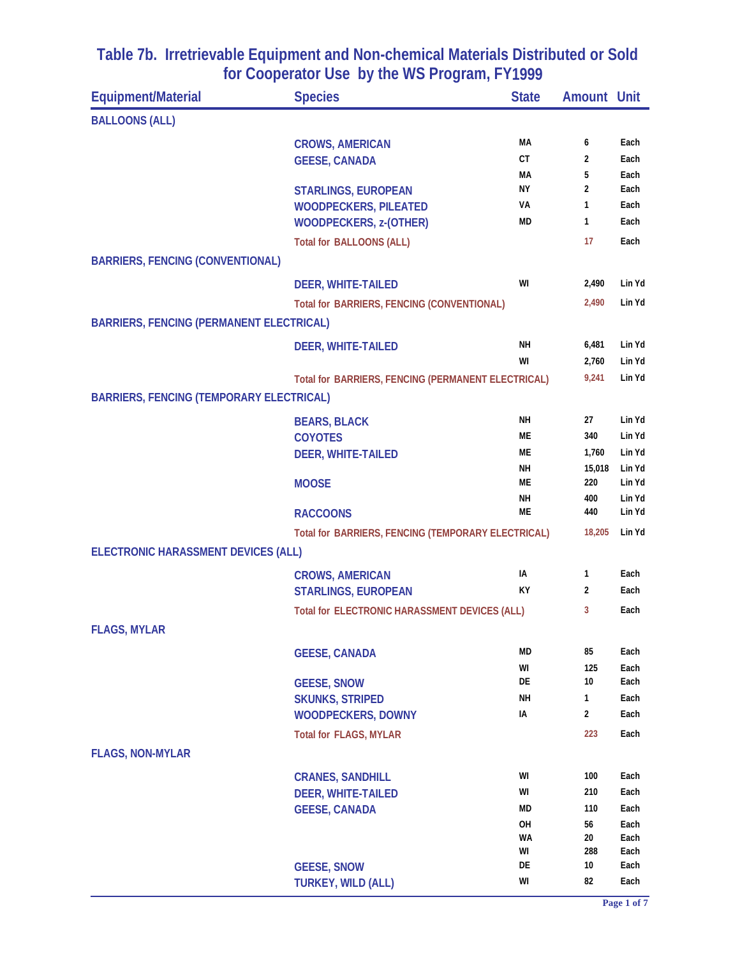| <b>Equipment/Material</b>                       | <b>Species</b>                                     | <b>State</b> | <b>Amount Unit</b> |                  |
|-------------------------------------------------|----------------------------------------------------|--------------|--------------------|------------------|
| <b>BALLOONS (ALL)</b>                           |                                                    |              |                    |                  |
|                                                 | <b>CROWS, AMERICAN</b>                             | МA           | 6                  | Each             |
|                                                 | <b>GEESE, CANADA</b>                               | <b>CT</b>    | 2                  | Each             |
|                                                 |                                                    | MА           | 5                  | Each             |
|                                                 | <b>STARLINGS, EUROPEAN</b>                         | NΥ           | $\overline{2}$     | Each             |
|                                                 | <b>WOODPECKERS, PILEATED</b>                       | VA           | 1                  | Each             |
|                                                 | <b>WOODPECKERS, z-(OTHER)</b>                      | <b>MD</b>    | 1                  | Each             |
|                                                 | <b>Total for BALLOONS (ALL)</b>                    |              | 17                 | Each             |
| <b>BARRIERS, FENCING (CONVENTIONAL)</b>         |                                                    |              |                    |                  |
|                                                 | <b>DEER, WHITE-TAILED</b>                          | WI           | 2,490              | Lin Yd           |
|                                                 | Total for BARRIERS, FENCING (CONVENTIONAL)         |              | 2,490              | Lin Yd           |
| <b>BARRIERS, FENCING (PERMANENT ELECTRICAL)</b> |                                                    |              |                    |                  |
|                                                 | <b>DEER, WHITE-TAILED</b>                          | NΗ           | 6,481              | Lin Yd           |
|                                                 |                                                    | WI           | 2,760              | Lin Yd           |
|                                                 | Total for BARRIERS, FENCING (PERMANENT ELECTRICAL) |              | 9,241              | Lin Yd           |
| <b>BARRIERS, FENCING (TEMPORARY ELECTRICAL)</b> |                                                    |              |                    |                  |
|                                                 | <b>BEARS, BLACK</b>                                | NН           | 27                 | Lin Yd           |
|                                                 | <b>COYOTES</b>                                     | МE           | 340                | Lin Yd           |
|                                                 | <b>DEER, WHITE-TAILED</b>                          | МE           | 1,760              | Lin Yd           |
|                                                 |                                                    | NН           | 15,018             | Lin Yd           |
|                                                 | <b>MOOSE</b>                                       | MЕ           | 220                | Lin Yd           |
|                                                 |                                                    | NΗ<br>МE     | 400<br>440         | Lin Yd<br>Lin Yd |
|                                                 | <b>RACCOONS</b>                                    |              |                    |                  |
|                                                 | Total for BARRIERS, FENCING (TEMPORARY ELECTRICAL) |              | 18,205             | Lin Yd           |
| ELECTRONIC HARASSMENT DEVICES (ALL)             |                                                    |              |                    |                  |
|                                                 | <b>CROWS, AMERICAN</b>                             | IA           | 1                  | Each             |
|                                                 | <b>STARLINGS, EUROPEAN</b>                         | ΚY           | 2                  | Each             |
|                                                 | Total for ELECTRONIC HARASSMENT DEVICES (ALL)      |              | 3                  | Each             |
| <b>FLAGS, MYLAR</b>                             |                                                    |              |                    |                  |
|                                                 | <b>GEESE, CANADA</b>                               | MD           | 85                 | Each             |
|                                                 |                                                    | WI           | 125                | Each             |
|                                                 | <b>GEESE, SNOW</b>                                 | DE           | 10                 | Each             |
|                                                 | <b>SKUNKS, STRIPED</b>                             | NΗ           | 1                  | Each             |
|                                                 | <b>WOODPECKERS, DOWNY</b>                          | IA           | 2                  | Each             |
|                                                 | Total for FLAGS, MYLAR                             |              | 223                | Each             |
| <b>FLAGS, NON-MYLAR</b>                         |                                                    |              |                    |                  |
|                                                 | <b>CRANES, SANDHILL</b>                            | WI           | 100                | Each             |
|                                                 | <b>DEER, WHITE-TAILED</b>                          | WI           | 210                | Each             |
|                                                 | <b>GEESE, CANADA</b>                               | MD           | 110                | Each             |
|                                                 |                                                    | OH           | 56                 | Each             |
|                                                 |                                                    | WA<br>WI     | 20<br>288          | Each<br>Each     |
|                                                 | <b>GEESE, SNOW</b>                                 | DE           | 10                 | Each             |
|                                                 | <b>TURKEY, WILD (ALL)</b>                          | WI           | 82                 | Each             |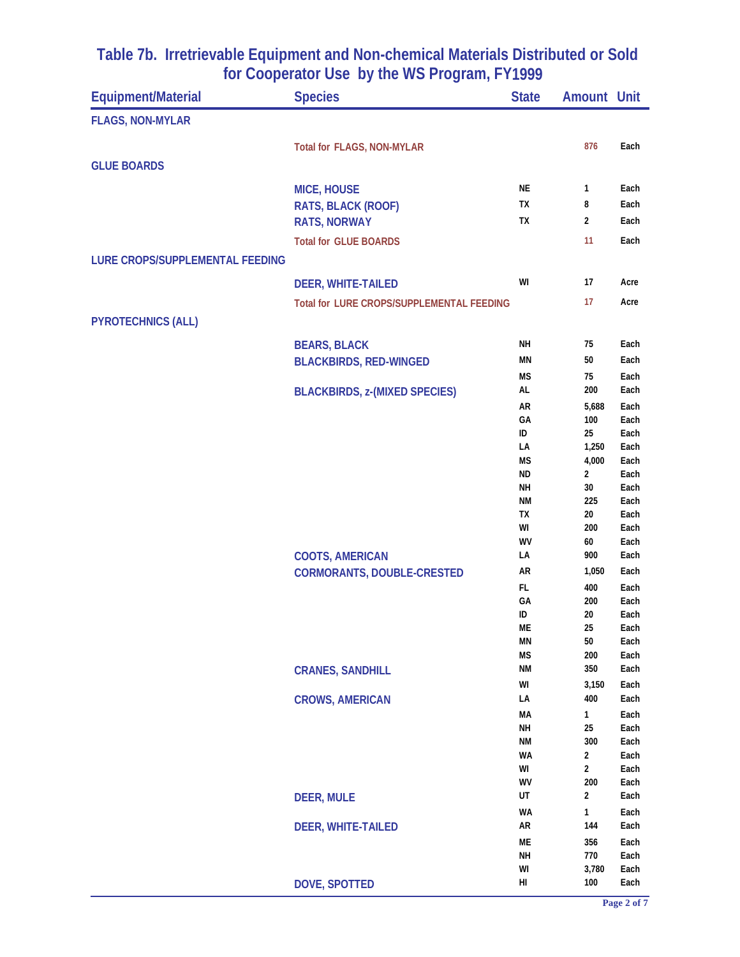| Equipment/Material              | <b>Species</b>                            | <b>State</b>           | <b>Amount Unit</b> |              |
|---------------------------------|-------------------------------------------|------------------------|--------------------|--------------|
| <b>FLAGS, NON-MYLAR</b>         |                                           |                        |                    |              |
|                                 | Total for FLAGS, NON-MYLAR                |                        | 876                | Each         |
| <b>GLUE BOARDS</b>              |                                           |                        |                    |              |
|                                 |                                           |                        |                    |              |
|                                 | <b>MICE, HOUSE</b>                        | NE                     | 1                  | Each         |
|                                 | RATS, BLACK (ROOF)                        | TX                     | 8                  | Each         |
|                                 | <b>RATS, NORWAY</b>                       | TX                     | 2                  | Each         |
|                                 | <b>Total for GLUE BOARDS</b>              |                        | 11                 | Each         |
| LURE CROPS/SUPPLEMENTAL FEEDING |                                           |                        |                    |              |
|                                 | <b>DEER, WHITE-TAILED</b>                 | WI                     | 17                 | Acre         |
|                                 | Total for LURE CROPS/SUPPLEMENTAL FEEDING |                        | 17                 | Acre         |
|                                 |                                           |                        |                    |              |
| <b>PYROTECHNICS (ALL)</b>       |                                           |                        |                    |              |
|                                 | <b>BEARS, BLACK</b>                       | NΗ                     | 75                 | Each         |
|                                 | <b>BLACKBIRDS, RED-WINGED</b>             | ΜN                     | 50                 | Each         |
|                                 |                                           | <b>MS</b>              | 75                 | Each         |
|                                 | <b>BLACKBIRDS, z-(MIXED SPECIES)</b>      | AL                     | 200                | Each         |
|                                 |                                           | AR                     | 5,688              | Each         |
|                                 |                                           | GA                     | 100                | Each         |
|                                 |                                           | ID                     | 25                 | Each         |
|                                 |                                           | LA<br><b>MS</b>        | 1,250<br>4,000     | Each<br>Each |
|                                 |                                           | <b>ND</b>              | 2                  | Each         |
|                                 |                                           | <b>NH</b>              | 30                 | Each         |
|                                 |                                           | ΝM                     | 225                | Each         |
|                                 |                                           | TX                     | 20                 | Each         |
|                                 |                                           | WI                     | 200                | Each         |
|                                 |                                           | WV<br>LA               | 60<br>900          | Each<br>Each |
|                                 | <b>COOTS, AMERICAN</b>                    | AR                     |                    | Each         |
|                                 | <b>CORMORANTS, DOUBLE-CRESTED</b>         |                        | 1,050              |              |
|                                 |                                           | FL.<br>GA              | 400<br>200         | Each<br>Each |
|                                 |                                           | ID                     | 20                 | Each         |
|                                 |                                           | ME                     | 25                 | Each         |
|                                 |                                           | MN                     | 50                 | Each         |
|                                 |                                           | <b>MS</b>              | 200                | Each         |
|                                 | <b>CRANES, SANDHILL</b>                   | <b>NM</b>              | 350                | Each         |
|                                 |                                           | WI                     | 3,150              | Each         |
|                                 | <b>CROWS, AMERICAN</b>                    | LA                     | 400                | Each         |
|                                 |                                           | MA                     | 1                  | Each         |
|                                 |                                           | <b>NH</b><br><b>NM</b> | 25<br>300          | Each         |
|                                 |                                           | WA                     | 2                  | Each<br>Each |
|                                 |                                           | WI                     | 2                  | Each         |
|                                 |                                           | WV                     | 200                | Each         |
|                                 | <b>DEER, MULE</b>                         | UT                     | 2                  | Each         |
|                                 |                                           | <b>WA</b>              | 1                  | Each         |
|                                 | <b>DEER, WHITE-TAILED</b>                 | AR                     | 144                | Each         |
|                                 |                                           | ME                     | 356                | Each         |
|                                 |                                           | <b>NH</b>              | 770                | Each         |
|                                 | <b>DOVE, SPOTTED</b>                      | WI<br>HI               | 3,780<br>100       | Each<br>Each |
|                                 |                                           |                        |                    |              |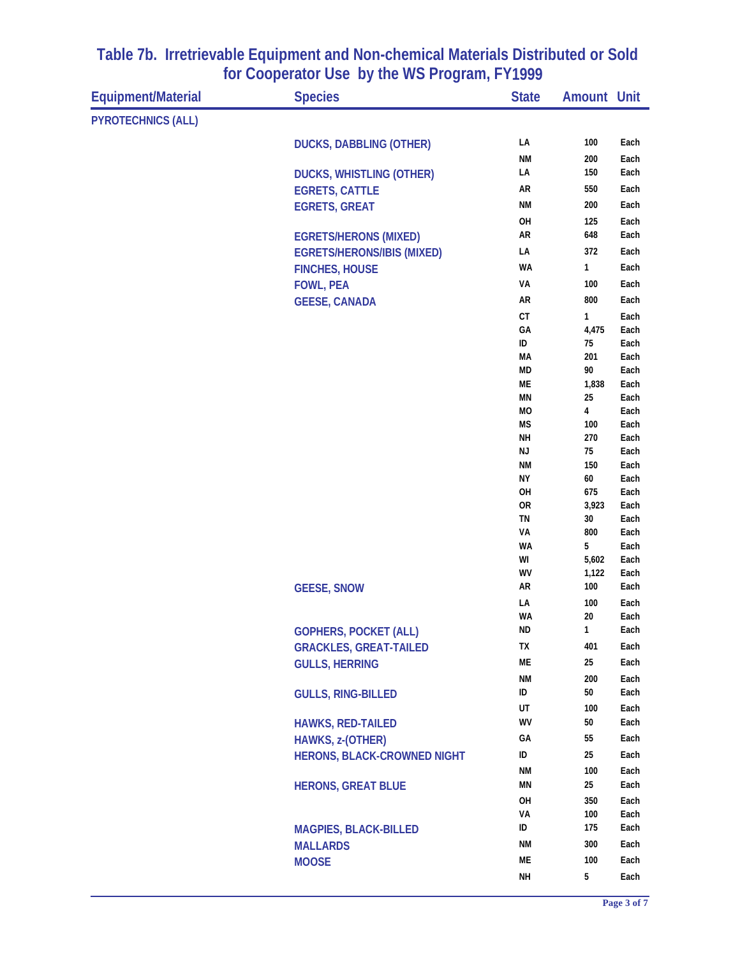| Equipment/Material        | <b>Species</b>                     | <b>State</b>    | <b>Amount Unit</b> |              |
|---------------------------|------------------------------------|-----------------|--------------------|--------------|
| <b>PYROTECHNICS (ALL)</b> |                                    |                 |                    |              |
|                           | <b>DUCKS, DABBLING (OTHER)</b>     | LA              | 100                | Each         |
|                           |                                    | <b>NM</b>       | 200                | Each         |
|                           | <b>DUCKS, WHISTLING (OTHER)</b>    | LA              | 150                | Each         |
|                           | <b>EGRETS, CATTLE</b>              | AR              | 550                | Each         |
|                           | <b>EGRETS, GREAT</b>               | <b>NM</b>       | 200                | Each         |
|                           |                                    | OH              | 125                | Each         |
|                           | <b>EGRETS/HERONS (MIXED)</b>       | AR              | 648                | Each         |
|                           | <b>EGRETS/HERONS/IBIS (MIXED)</b>  | LA              | 372                | Each         |
|                           | <b>FINCHES, HOUSE</b>              | <b>WA</b>       | 1                  | Each         |
|                           | <b>FOWL, PEA</b>                   | VA              | 100                | Each         |
|                           | <b>GEESE, CANADA</b>               | AR              | 800                | Each         |
|                           |                                    | СT              | $\mathbf{1}$       | Each         |
|                           |                                    | GA              | 4,475              | Each         |
|                           |                                    | ID              | 75                 | Each         |
|                           |                                    | MA              | 201                | Each         |
|                           |                                    | <b>MD</b>       | 90                 | Each         |
|                           |                                    | ME              | 1,838              | Each         |
|                           |                                    | MN              | 25                 | Each         |
|                           |                                    | MO              | 4                  | Each         |
|                           |                                    | <b>MS</b>       | 100                | Each         |
|                           |                                    | NΗ<br>NJ        | 270<br>75          | Each<br>Each |
|                           |                                    | <b>NM</b>       | 150                | Each         |
|                           |                                    | NΥ              | 60                 | Each         |
|                           |                                    | OH              | 675                | Each         |
|                           |                                    | 0R              | 3,923              | Each         |
|                           |                                    | TN              | 30                 | Each         |
|                           |                                    | VA              | 800                | Each         |
|                           |                                    | <b>WA</b>       | 5                  | Each         |
|                           |                                    | WI              | 5,602              | Each         |
|                           |                                    | WV              | 1,122<br>100       | Each         |
|                           | <b>GEESE, SNOW</b>                 | AR              |                    | Each         |
|                           |                                    | LA<br><b>WA</b> | 100<br>20          | Each<br>Each |
|                           | <b>GOPHERS, POCKET (ALL)</b>       | ND              | $\mathbf{1}$       | Each         |
|                           |                                    | TХ              | 401                | Each         |
|                           | <b>GRACKLES, GREAT-TAILED</b>      | ME              | 25                 | Each         |
|                           | <b>GULLS, HERRING</b>              |                 |                    |              |
|                           |                                    | <b>NM</b><br>ID | 200<br>50          | Each<br>Each |
|                           | <b>GULLS, RING-BILLED</b>          |                 |                    |              |
|                           |                                    | UT<br>WV        | 100<br>50          | Each<br>Each |
|                           | <b>HAWKS, RED-TAILED</b>           |                 |                    |              |
|                           | HAWKS, z-(OTHER)                   | GA              | 55                 | Each         |
|                           | <b>HERONS, BLACK-CROWNED NIGHT</b> | ID              | 25                 | Each         |
|                           |                                    | <b>NM</b>       | 100                | Each         |
|                           | <b>HERONS, GREAT BLUE</b>          | MN              | 25                 | Each         |
|                           |                                    | OH              | 350                | Each         |
|                           |                                    | VA<br>ID        | 100<br>175         | Each         |
|                           | <b>MAGPIES, BLACK-BILLED</b>       |                 |                    | Each         |
|                           | <b>MALLARDS</b>                    | <b>NM</b>       | 300                | Each         |
|                           | <b>MOOSE</b>                       | ME              | 100                | Each         |
|                           |                                    | <b>NH</b>       | $5\phantom{.0}$    | Each         |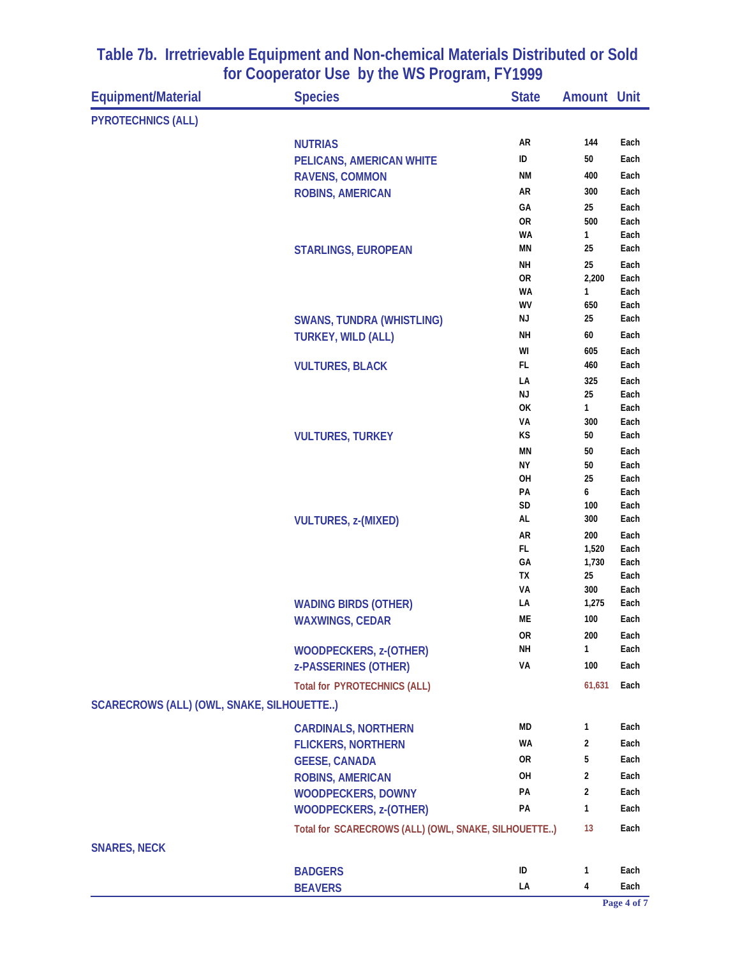| <b>PYROTECHNICS (ALL)</b><br>AR<br>144<br>Each<br><b>NUTRIAS</b><br>ID<br>50<br>Each<br>PELICANS, AMERICAN WHITE<br>ΝM<br>400<br>Each<br><b>RAVENS, COMMON</b><br>AR<br>300<br>Each<br><b>ROBINS, AMERICAN</b><br>GA<br>25<br>Each<br><b>OR</b><br>500<br>Each<br>WA<br>1<br>Each<br><b>MN</b><br>25<br>Each<br><b>STARLINGS, EUROPEAN</b><br>25<br><b>NH</b><br>Each<br><b>OR</b><br>2,200<br>Each<br>WA<br>1<br>Each<br>WV<br>650<br>Each<br>NJ<br>25<br>Each<br><b>SWANS, TUNDRA (WHISTLING)</b><br><b>NH</b><br>60<br><b>TURKEY, WILD (ALL)</b><br>Each<br>WI<br>605<br>Each<br>FL<br>460<br>Each<br><b>VULTURES, BLACK</b><br>LA<br>325<br>Each<br>ΝJ<br>25<br>Each<br>OK<br>1<br>Each<br>VA<br>300<br>Each<br>KS<br>50<br>Each<br><b>VULTURES, TURKEY</b><br><b>MN</b><br>50<br>Each<br>ΝY<br>50<br>Each<br>OH<br>25<br>Each<br>PA<br>6<br>Each<br>SD<br>Each<br>100<br>AL<br>300<br>Each<br><b>VULTURES, z-(MIXED)</b><br>AR<br>200<br>Each<br>FL<br>1,520<br>Each<br>GA<br>1,730<br>Each<br>TX<br>25<br>Each<br>VA<br>300<br>Each<br>LA<br>1,275<br>Each<br><b>WADING BIRDS (OTHER)</b><br>ME<br>100<br>Each<br><b>WAXWINGS, CEDAR</b><br>0R<br>200<br>Each<br>NΗ<br>1<br>Each<br><b>WOODPECKERS, z-(OTHER)</b><br>VA<br>100<br>Each<br>z-PASSERINES (OTHER)<br>61,631<br>Each<br><b>Total for PYROTECHNICS (ALL)</b><br>SCARECROWS (ALL) (OWL, SNAKE, SILHOUETTE)<br>MD<br>1<br>Each<br><b>CARDINALS, NORTHERN</b><br><b>WA</b><br>2<br>Each<br><b>FLICKERS, NORTHERN</b><br>0R<br>5<br>Each<br><b>GEESE, CANADA</b><br>OH<br>$\overline{2}$<br>Each<br><b>ROBINS, AMERICAN</b><br>PA<br>$\overline{2}$<br>Each<br><b>WOODPECKERS, DOWNY</b><br>PA<br>1<br>Each<br><b>WOODPECKERS, z-(OTHER)</b><br>Total for SCARECROWS (ALL) (OWL, SNAKE, SILHOUETTE)<br>13<br>Each<br><b>SNARES, NECK</b><br>ID<br>1<br>Each<br><b>BADGERS</b><br>LA<br>4<br>Each<br><b>BEAVERS</b> | <b>Equipment/Material</b> | <b>Species</b> | <b>State</b> | <b>Amount Unit</b> |  |
|---------------------------------------------------------------------------------------------------------------------------------------------------------------------------------------------------------------------------------------------------------------------------------------------------------------------------------------------------------------------------------------------------------------------------------------------------------------------------------------------------------------------------------------------------------------------------------------------------------------------------------------------------------------------------------------------------------------------------------------------------------------------------------------------------------------------------------------------------------------------------------------------------------------------------------------------------------------------------------------------------------------------------------------------------------------------------------------------------------------------------------------------------------------------------------------------------------------------------------------------------------------------------------------------------------------------------------------------------------------------------------------------------------------------------------------------------------------------------------------------------------------------------------------------------------------------------------------------------------------------------------------------------------------------------------------------------------------------------------------------------------------------------------------------------------------------------------------------------------------------------------|---------------------------|----------------|--------------|--------------------|--|
|                                                                                                                                                                                                                                                                                                                                                                                                                                                                                                                                                                                                                                                                                                                                                                                                                                                                                                                                                                                                                                                                                                                                                                                                                                                                                                                                                                                                                                                                                                                                                                                                                                                                                                                                                                                                                                                                                 |                           |                |              |                    |  |
|                                                                                                                                                                                                                                                                                                                                                                                                                                                                                                                                                                                                                                                                                                                                                                                                                                                                                                                                                                                                                                                                                                                                                                                                                                                                                                                                                                                                                                                                                                                                                                                                                                                                                                                                                                                                                                                                                 |                           |                |              |                    |  |
|                                                                                                                                                                                                                                                                                                                                                                                                                                                                                                                                                                                                                                                                                                                                                                                                                                                                                                                                                                                                                                                                                                                                                                                                                                                                                                                                                                                                                                                                                                                                                                                                                                                                                                                                                                                                                                                                                 |                           |                |              |                    |  |
|                                                                                                                                                                                                                                                                                                                                                                                                                                                                                                                                                                                                                                                                                                                                                                                                                                                                                                                                                                                                                                                                                                                                                                                                                                                                                                                                                                                                                                                                                                                                                                                                                                                                                                                                                                                                                                                                                 |                           |                |              |                    |  |
|                                                                                                                                                                                                                                                                                                                                                                                                                                                                                                                                                                                                                                                                                                                                                                                                                                                                                                                                                                                                                                                                                                                                                                                                                                                                                                                                                                                                                                                                                                                                                                                                                                                                                                                                                                                                                                                                                 |                           |                |              |                    |  |
|                                                                                                                                                                                                                                                                                                                                                                                                                                                                                                                                                                                                                                                                                                                                                                                                                                                                                                                                                                                                                                                                                                                                                                                                                                                                                                                                                                                                                                                                                                                                                                                                                                                                                                                                                                                                                                                                                 |                           |                |              |                    |  |
|                                                                                                                                                                                                                                                                                                                                                                                                                                                                                                                                                                                                                                                                                                                                                                                                                                                                                                                                                                                                                                                                                                                                                                                                                                                                                                                                                                                                                                                                                                                                                                                                                                                                                                                                                                                                                                                                                 |                           |                |              |                    |  |
|                                                                                                                                                                                                                                                                                                                                                                                                                                                                                                                                                                                                                                                                                                                                                                                                                                                                                                                                                                                                                                                                                                                                                                                                                                                                                                                                                                                                                                                                                                                                                                                                                                                                                                                                                                                                                                                                                 |                           |                |              |                    |  |
|                                                                                                                                                                                                                                                                                                                                                                                                                                                                                                                                                                                                                                                                                                                                                                                                                                                                                                                                                                                                                                                                                                                                                                                                                                                                                                                                                                                                                                                                                                                                                                                                                                                                                                                                                                                                                                                                                 |                           |                |              |                    |  |
|                                                                                                                                                                                                                                                                                                                                                                                                                                                                                                                                                                                                                                                                                                                                                                                                                                                                                                                                                                                                                                                                                                                                                                                                                                                                                                                                                                                                                                                                                                                                                                                                                                                                                                                                                                                                                                                                                 |                           |                |              |                    |  |
|                                                                                                                                                                                                                                                                                                                                                                                                                                                                                                                                                                                                                                                                                                                                                                                                                                                                                                                                                                                                                                                                                                                                                                                                                                                                                                                                                                                                                                                                                                                                                                                                                                                                                                                                                                                                                                                                                 |                           |                |              |                    |  |
|                                                                                                                                                                                                                                                                                                                                                                                                                                                                                                                                                                                                                                                                                                                                                                                                                                                                                                                                                                                                                                                                                                                                                                                                                                                                                                                                                                                                                                                                                                                                                                                                                                                                                                                                                                                                                                                                                 |                           |                |              |                    |  |
|                                                                                                                                                                                                                                                                                                                                                                                                                                                                                                                                                                                                                                                                                                                                                                                                                                                                                                                                                                                                                                                                                                                                                                                                                                                                                                                                                                                                                                                                                                                                                                                                                                                                                                                                                                                                                                                                                 |                           |                |              |                    |  |
|                                                                                                                                                                                                                                                                                                                                                                                                                                                                                                                                                                                                                                                                                                                                                                                                                                                                                                                                                                                                                                                                                                                                                                                                                                                                                                                                                                                                                                                                                                                                                                                                                                                                                                                                                                                                                                                                                 |                           |                |              |                    |  |
|                                                                                                                                                                                                                                                                                                                                                                                                                                                                                                                                                                                                                                                                                                                                                                                                                                                                                                                                                                                                                                                                                                                                                                                                                                                                                                                                                                                                                                                                                                                                                                                                                                                                                                                                                                                                                                                                                 |                           |                |              |                    |  |
|                                                                                                                                                                                                                                                                                                                                                                                                                                                                                                                                                                                                                                                                                                                                                                                                                                                                                                                                                                                                                                                                                                                                                                                                                                                                                                                                                                                                                                                                                                                                                                                                                                                                                                                                                                                                                                                                                 |                           |                |              |                    |  |
|                                                                                                                                                                                                                                                                                                                                                                                                                                                                                                                                                                                                                                                                                                                                                                                                                                                                                                                                                                                                                                                                                                                                                                                                                                                                                                                                                                                                                                                                                                                                                                                                                                                                                                                                                                                                                                                                                 |                           |                |              |                    |  |
|                                                                                                                                                                                                                                                                                                                                                                                                                                                                                                                                                                                                                                                                                                                                                                                                                                                                                                                                                                                                                                                                                                                                                                                                                                                                                                                                                                                                                                                                                                                                                                                                                                                                                                                                                                                                                                                                                 |                           |                |              |                    |  |
|                                                                                                                                                                                                                                                                                                                                                                                                                                                                                                                                                                                                                                                                                                                                                                                                                                                                                                                                                                                                                                                                                                                                                                                                                                                                                                                                                                                                                                                                                                                                                                                                                                                                                                                                                                                                                                                                                 |                           |                |              |                    |  |
|                                                                                                                                                                                                                                                                                                                                                                                                                                                                                                                                                                                                                                                                                                                                                                                                                                                                                                                                                                                                                                                                                                                                                                                                                                                                                                                                                                                                                                                                                                                                                                                                                                                                                                                                                                                                                                                                                 |                           |                |              |                    |  |
|                                                                                                                                                                                                                                                                                                                                                                                                                                                                                                                                                                                                                                                                                                                                                                                                                                                                                                                                                                                                                                                                                                                                                                                                                                                                                                                                                                                                                                                                                                                                                                                                                                                                                                                                                                                                                                                                                 |                           |                |              |                    |  |
|                                                                                                                                                                                                                                                                                                                                                                                                                                                                                                                                                                                                                                                                                                                                                                                                                                                                                                                                                                                                                                                                                                                                                                                                                                                                                                                                                                                                                                                                                                                                                                                                                                                                                                                                                                                                                                                                                 |                           |                |              |                    |  |
|                                                                                                                                                                                                                                                                                                                                                                                                                                                                                                                                                                                                                                                                                                                                                                                                                                                                                                                                                                                                                                                                                                                                                                                                                                                                                                                                                                                                                                                                                                                                                                                                                                                                                                                                                                                                                                                                                 |                           |                |              |                    |  |
|                                                                                                                                                                                                                                                                                                                                                                                                                                                                                                                                                                                                                                                                                                                                                                                                                                                                                                                                                                                                                                                                                                                                                                                                                                                                                                                                                                                                                                                                                                                                                                                                                                                                                                                                                                                                                                                                                 |                           |                |              |                    |  |
|                                                                                                                                                                                                                                                                                                                                                                                                                                                                                                                                                                                                                                                                                                                                                                                                                                                                                                                                                                                                                                                                                                                                                                                                                                                                                                                                                                                                                                                                                                                                                                                                                                                                                                                                                                                                                                                                                 |                           |                |              |                    |  |
|                                                                                                                                                                                                                                                                                                                                                                                                                                                                                                                                                                                                                                                                                                                                                                                                                                                                                                                                                                                                                                                                                                                                                                                                                                                                                                                                                                                                                                                                                                                                                                                                                                                                                                                                                                                                                                                                                 |                           |                |              |                    |  |
|                                                                                                                                                                                                                                                                                                                                                                                                                                                                                                                                                                                                                                                                                                                                                                                                                                                                                                                                                                                                                                                                                                                                                                                                                                                                                                                                                                                                                                                                                                                                                                                                                                                                                                                                                                                                                                                                                 |                           |                |              |                    |  |
|                                                                                                                                                                                                                                                                                                                                                                                                                                                                                                                                                                                                                                                                                                                                                                                                                                                                                                                                                                                                                                                                                                                                                                                                                                                                                                                                                                                                                                                                                                                                                                                                                                                                                                                                                                                                                                                                                 |                           |                |              |                    |  |
|                                                                                                                                                                                                                                                                                                                                                                                                                                                                                                                                                                                                                                                                                                                                                                                                                                                                                                                                                                                                                                                                                                                                                                                                                                                                                                                                                                                                                                                                                                                                                                                                                                                                                                                                                                                                                                                                                 |                           |                |              |                    |  |
|                                                                                                                                                                                                                                                                                                                                                                                                                                                                                                                                                                                                                                                                                                                                                                                                                                                                                                                                                                                                                                                                                                                                                                                                                                                                                                                                                                                                                                                                                                                                                                                                                                                                                                                                                                                                                                                                                 |                           |                |              |                    |  |
|                                                                                                                                                                                                                                                                                                                                                                                                                                                                                                                                                                                                                                                                                                                                                                                                                                                                                                                                                                                                                                                                                                                                                                                                                                                                                                                                                                                                                                                                                                                                                                                                                                                                                                                                                                                                                                                                                 |                           |                |              |                    |  |
|                                                                                                                                                                                                                                                                                                                                                                                                                                                                                                                                                                                                                                                                                                                                                                                                                                                                                                                                                                                                                                                                                                                                                                                                                                                                                                                                                                                                                                                                                                                                                                                                                                                                                                                                                                                                                                                                                 |                           |                |              |                    |  |
|                                                                                                                                                                                                                                                                                                                                                                                                                                                                                                                                                                                                                                                                                                                                                                                                                                                                                                                                                                                                                                                                                                                                                                                                                                                                                                                                                                                                                                                                                                                                                                                                                                                                                                                                                                                                                                                                                 |                           |                |              |                    |  |
|                                                                                                                                                                                                                                                                                                                                                                                                                                                                                                                                                                                                                                                                                                                                                                                                                                                                                                                                                                                                                                                                                                                                                                                                                                                                                                                                                                                                                                                                                                                                                                                                                                                                                                                                                                                                                                                                                 |                           |                |              |                    |  |
|                                                                                                                                                                                                                                                                                                                                                                                                                                                                                                                                                                                                                                                                                                                                                                                                                                                                                                                                                                                                                                                                                                                                                                                                                                                                                                                                                                                                                                                                                                                                                                                                                                                                                                                                                                                                                                                                                 |                           |                |              |                    |  |
|                                                                                                                                                                                                                                                                                                                                                                                                                                                                                                                                                                                                                                                                                                                                                                                                                                                                                                                                                                                                                                                                                                                                                                                                                                                                                                                                                                                                                                                                                                                                                                                                                                                                                                                                                                                                                                                                                 |                           |                |              |                    |  |
|                                                                                                                                                                                                                                                                                                                                                                                                                                                                                                                                                                                                                                                                                                                                                                                                                                                                                                                                                                                                                                                                                                                                                                                                                                                                                                                                                                                                                                                                                                                                                                                                                                                                                                                                                                                                                                                                                 |                           |                |              |                    |  |
|                                                                                                                                                                                                                                                                                                                                                                                                                                                                                                                                                                                                                                                                                                                                                                                                                                                                                                                                                                                                                                                                                                                                                                                                                                                                                                                                                                                                                                                                                                                                                                                                                                                                                                                                                                                                                                                                                 |                           |                |              |                    |  |
|                                                                                                                                                                                                                                                                                                                                                                                                                                                                                                                                                                                                                                                                                                                                                                                                                                                                                                                                                                                                                                                                                                                                                                                                                                                                                                                                                                                                                                                                                                                                                                                                                                                                                                                                                                                                                                                                                 |                           |                |              |                    |  |
|                                                                                                                                                                                                                                                                                                                                                                                                                                                                                                                                                                                                                                                                                                                                                                                                                                                                                                                                                                                                                                                                                                                                                                                                                                                                                                                                                                                                                                                                                                                                                                                                                                                                                                                                                                                                                                                                                 |                           |                |              |                    |  |
|                                                                                                                                                                                                                                                                                                                                                                                                                                                                                                                                                                                                                                                                                                                                                                                                                                                                                                                                                                                                                                                                                                                                                                                                                                                                                                                                                                                                                                                                                                                                                                                                                                                                                                                                                                                                                                                                                 |                           |                |              |                    |  |
|                                                                                                                                                                                                                                                                                                                                                                                                                                                                                                                                                                                                                                                                                                                                                                                                                                                                                                                                                                                                                                                                                                                                                                                                                                                                                                                                                                                                                                                                                                                                                                                                                                                                                                                                                                                                                                                                                 |                           |                |              |                    |  |
|                                                                                                                                                                                                                                                                                                                                                                                                                                                                                                                                                                                                                                                                                                                                                                                                                                                                                                                                                                                                                                                                                                                                                                                                                                                                                                                                                                                                                                                                                                                                                                                                                                                                                                                                                                                                                                                                                 |                           |                |              |                    |  |
|                                                                                                                                                                                                                                                                                                                                                                                                                                                                                                                                                                                                                                                                                                                                                                                                                                                                                                                                                                                                                                                                                                                                                                                                                                                                                                                                                                                                                                                                                                                                                                                                                                                                                                                                                                                                                                                                                 |                           |                |              |                    |  |
|                                                                                                                                                                                                                                                                                                                                                                                                                                                                                                                                                                                                                                                                                                                                                                                                                                                                                                                                                                                                                                                                                                                                                                                                                                                                                                                                                                                                                                                                                                                                                                                                                                                                                                                                                                                                                                                                                 |                           |                |              |                    |  |
|                                                                                                                                                                                                                                                                                                                                                                                                                                                                                                                                                                                                                                                                                                                                                                                                                                                                                                                                                                                                                                                                                                                                                                                                                                                                                                                                                                                                                                                                                                                                                                                                                                                                                                                                                                                                                                                                                 |                           |                |              |                    |  |
|                                                                                                                                                                                                                                                                                                                                                                                                                                                                                                                                                                                                                                                                                                                                                                                                                                                                                                                                                                                                                                                                                                                                                                                                                                                                                                                                                                                                                                                                                                                                                                                                                                                                                                                                                                                                                                                                                 |                           |                |              |                    |  |
|                                                                                                                                                                                                                                                                                                                                                                                                                                                                                                                                                                                                                                                                                                                                                                                                                                                                                                                                                                                                                                                                                                                                                                                                                                                                                                                                                                                                                                                                                                                                                                                                                                                                                                                                                                                                                                                                                 |                           |                |              |                    |  |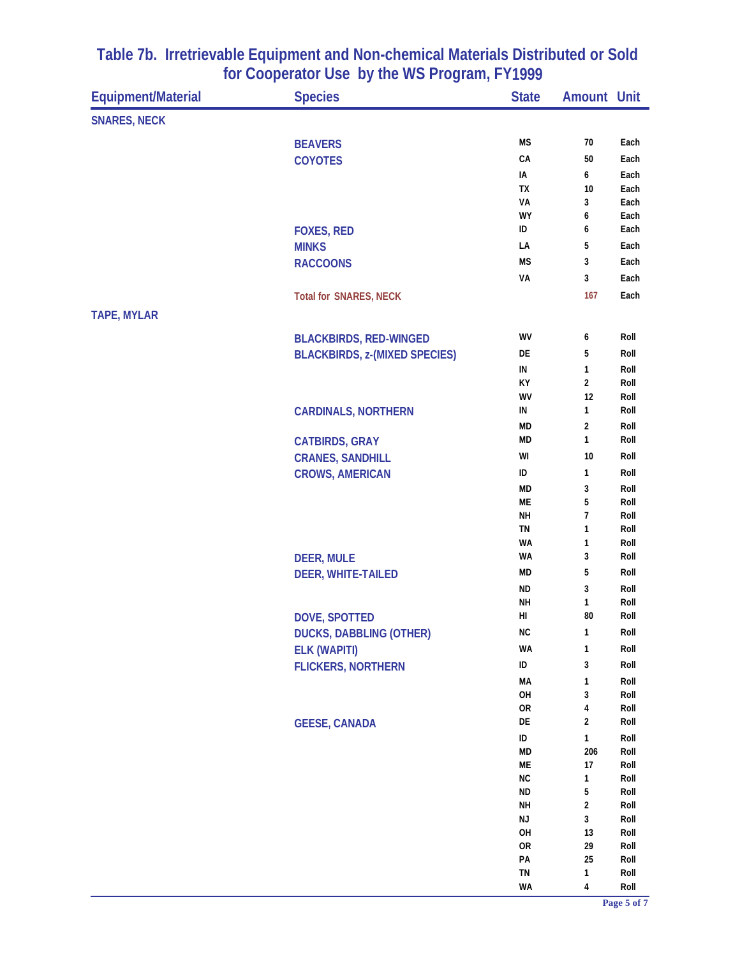| <b>Equipment/Material</b> | <b>Species</b>                       | <b>State</b>    | <b>Amount Unit</b>      |              |
|---------------------------|--------------------------------------|-----------------|-------------------------|--------------|
| <b>SNARES, NECK</b>       |                                      |                 |                         |              |
|                           | <b>BEAVERS</b>                       | <b>MS</b>       | 70                      | Each         |
|                           | <b>COYOTES</b>                       | CA              | 50                      | Each         |
|                           |                                      | IA              | 6                       | Each         |
|                           |                                      | TX              | 10                      | Each         |
|                           |                                      | VA              | 3                       | Each         |
|                           |                                      | WY              | 6                       | Each         |
|                           | <b>FOXES, RED</b>                    | ID              | 6                       | Each         |
|                           | <b>MINKS</b>                         | LA              | 5                       | Each         |
|                           | <b>RACCOONS</b>                      | МS              | 3                       | Each         |
|                           |                                      | VA              | 3                       | Each         |
|                           | <b>Total for SNARES, NECK</b>        |                 | 167                     | Each         |
| <b>TAPE, MYLAR</b>        |                                      |                 |                         |              |
|                           | <b>BLACKBIRDS, RED-WINGED</b>        | WV              | 6                       | Roll         |
|                           | <b>BLACKBIRDS, z-(MIXED SPECIES)</b> | DE              | 5                       | Roll         |
|                           |                                      | IN              | 1                       | Roll         |
|                           |                                      | КY              | $\overline{\mathbf{c}}$ | Roll         |
|                           |                                      | WV              | 12                      | Roll         |
|                           | <b>CARDINALS, NORTHERN</b>           | IN              | 1                       | Roll         |
|                           |                                      | <b>MD</b>       | 2                       | Roll         |
|                           | <b>CATBIRDS, GRAY</b>                | <b>MD</b>       | 1                       | Roll         |
|                           | <b>CRANES, SANDHILL</b>              | WI              | 10                      | Roll         |
|                           | <b>CROWS, AMERICAN</b>               | ID              | 1                       | Roll         |
|                           |                                      | MD              | 3                       | Roll         |
|                           |                                      | ME              | 5                       | Roll         |
|                           |                                      | <b>NH</b>       | 7                       | Roll         |
|                           |                                      | <b>TN</b>       | 1                       | Roll         |
|                           |                                      | WA              | 1                       | Roll         |
|                           | <b>DEER, MULE</b>                    | WA              | 3                       | Roll         |
|                           | <b>DEER, WHITE-TAILED</b>            | <b>MD</b>       | 5                       | Roll         |
|                           |                                      | <b>ND</b>       | 3                       | Roll         |
|                           |                                      | <b>NH</b>       | 1                       | Roll         |
|                           | <b>DOVE, SPOTTED</b>                 | HI              | 80                      | Roll         |
|                           | <b>DUCKS, DABBLING (OTHER)</b>       | <b>NC</b>       | $\mathbf{1}$            | Roll         |
|                           | <b>ELK (WAPITI)</b>                  | WA              | 1                       | Roll         |
|                           | <b>FLICKERS, NORTHERN</b>            | ID              | 3                       | Roll         |
|                           |                                      | MA              | 1                       | Roll         |
|                           |                                      | OH              | 3                       | Roll         |
|                           |                                      | OR              | 4                       | Roll         |
|                           | <b>GEESE, CANADA</b>                 | DE              | 2                       | Roll         |
|                           |                                      | $\sf ID$        | $\mathbf{1}$            | Roll         |
|                           |                                      | <b>MD</b>       | 206                     | Roll         |
|                           |                                      | ME<br><b>NC</b> | 17<br>$\mathbf{1}$      | Roll<br>Roll |
|                           |                                      | ND              | 5                       | Roll         |
|                           |                                      | <b>NH</b>       | $\boldsymbol{2}$        | Roll         |
|                           |                                      | NJ              | 3                       | Roll         |
|                           |                                      | OH              | 13                      | Roll         |
|                           |                                      | <b>OR</b>       | 29                      | Roll         |
|                           |                                      | PA              | 25                      | Roll         |
|                           |                                      | TN              | 1                       | Roll         |
|                           |                                      | WA              | 4                       | Roll         |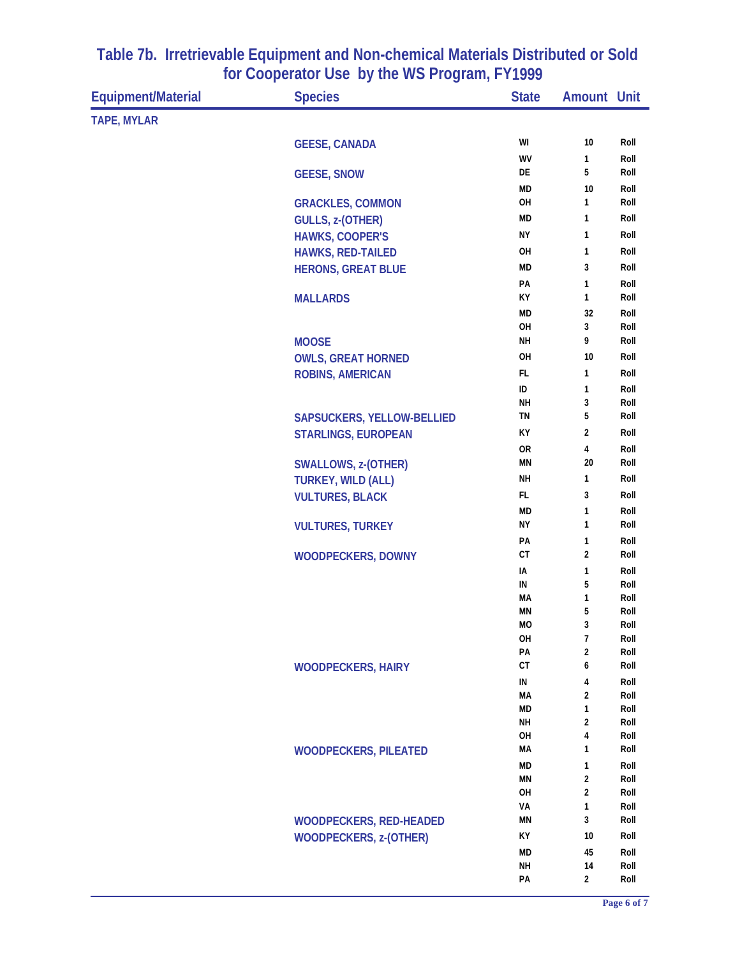| <b>TAPE, MYLAR</b><br>WI<br>$10\,$<br>Roll<br><b>GEESE, CANADA</b><br>WV<br>Roll<br>1<br>5<br>DE<br>Roll<br><b>GEESE, SNOW</b><br><b>MD</b><br>10<br>Roll<br>OH<br>1<br>Roll<br><b>GRACKLES, COMMON</b><br><b>MD</b><br>1<br>Roll<br>GULLS, z-(OTHER)<br><b>NY</b><br>Roll<br><b>HAWKS, COOPER'S</b><br>1<br>OH<br>$\mathbf{1}$<br>Roll<br><b>HAWKS, RED-TAILED</b><br><b>MD</b><br>3<br>Roll<br><b>HERONS, GREAT BLUE</b><br>PA<br>1<br>Roll<br>КY<br>1<br>Roll<br><b>MALLARDS</b><br><b>MD</b><br>32<br>Roll<br>OH<br>3<br>Roll<br><b>NH</b><br>9<br>Roll<br><b>MOOSE</b><br>OH<br>10<br>Roll<br><b>OWLS, GREAT HORNED</b><br>FL<br>$\mathbf{1}$<br>Roll<br><b>ROBINS, AMERICAN</b><br>ID<br>$\mathbf{1}$<br>Roll<br>3<br>NΗ<br>Roll<br>5<br>TN<br>Roll<br>SAPSUCKERS, YELLOW-BELLIED<br>КY<br>$\overline{2}$<br>Roll<br><b>STARLINGS, EUROPEAN</b><br><b>OR</b><br>4<br>Roll<br><b>MN</b><br>20<br>Roll<br><b>SWALLOWS, z-(OTHER)</b><br><b>NH</b><br>1<br>Roll<br><b>TURKEY, WILD (ALL)</b><br><b>FL</b><br>3<br>Roll<br><b>VULTURES, BLACK</b><br><b>MD</b><br>1<br>Roll<br><b>NY</b><br>1<br>Roll<br><b>VULTURES, TURKEY</b><br>PA<br>1<br>Roll<br>CT<br>$\overline{2}$<br>Roll<br><b>WOODPECKERS, DOWNY</b><br>IA<br>1<br>Roll<br>IN<br>5<br>Roll<br>МA<br>1<br>Roll<br>5<br><b>MN</b><br>Roll<br><b>MO</b><br>3<br>Roll<br>$\overline{1}$<br>OH<br>Roll<br>PA<br>2<br>Roll<br><b>CT</b><br>6<br>Roll<br><b>WOODPECKERS, HAIRY</b><br>IN<br>4<br>Roll<br><b>MA</b><br>2<br>Roll<br>$\mathbf{1}$<br><b>MD</b><br>Roll<br><b>NH</b><br>$\overline{2}$<br>Roll<br>OH<br>4<br>Roll<br>Roll<br>МA<br>1<br><b>WOODPECKERS, PILEATED</b><br><b>MD</b><br>1<br>Roll<br><b>MN</b><br>$\overline{2}$<br>Roll<br>$\overline{\mathbf{2}}$<br>OH<br>Roll<br>VA<br>1<br>Roll<br>3<br><b>MN</b><br>Roll<br><b>WOODPECKERS, RED-HEADED</b><br>KY<br><b>WOODPECKERS, z-(OTHER)</b><br>10<br>Roll<br><b>MD</b><br>45<br>Roll<br><b>NH</b><br>Roll<br>14<br>PA<br>$\overline{2}$<br>Roll | <b>Equipment/Material</b> | <b>Species</b> | <b>State</b> | <b>Amount Unit</b> |  |
|------------------------------------------------------------------------------------------------------------------------------------------------------------------------------------------------------------------------------------------------------------------------------------------------------------------------------------------------------------------------------------------------------------------------------------------------------------------------------------------------------------------------------------------------------------------------------------------------------------------------------------------------------------------------------------------------------------------------------------------------------------------------------------------------------------------------------------------------------------------------------------------------------------------------------------------------------------------------------------------------------------------------------------------------------------------------------------------------------------------------------------------------------------------------------------------------------------------------------------------------------------------------------------------------------------------------------------------------------------------------------------------------------------------------------------------------------------------------------------------------------------------------------------------------------------------------------------------------------------------------------------------------------------------------------------------------------------------------------------------------------------------------------------------------------------------------------------------------------------------------------------------------------------------------------------------------------------------------------|---------------------------|----------------|--------------|--------------------|--|
|                                                                                                                                                                                                                                                                                                                                                                                                                                                                                                                                                                                                                                                                                                                                                                                                                                                                                                                                                                                                                                                                                                                                                                                                                                                                                                                                                                                                                                                                                                                                                                                                                                                                                                                                                                                                                                                                                                                                                                              |                           |                |              |                    |  |
|                                                                                                                                                                                                                                                                                                                                                                                                                                                                                                                                                                                                                                                                                                                                                                                                                                                                                                                                                                                                                                                                                                                                                                                                                                                                                                                                                                                                                                                                                                                                                                                                                                                                                                                                                                                                                                                                                                                                                                              |                           |                |              |                    |  |
|                                                                                                                                                                                                                                                                                                                                                                                                                                                                                                                                                                                                                                                                                                                                                                                                                                                                                                                                                                                                                                                                                                                                                                                                                                                                                                                                                                                                                                                                                                                                                                                                                                                                                                                                                                                                                                                                                                                                                                              |                           |                |              |                    |  |
|                                                                                                                                                                                                                                                                                                                                                                                                                                                                                                                                                                                                                                                                                                                                                                                                                                                                                                                                                                                                                                                                                                                                                                                                                                                                                                                                                                                                                                                                                                                                                                                                                                                                                                                                                                                                                                                                                                                                                                              |                           |                |              |                    |  |
|                                                                                                                                                                                                                                                                                                                                                                                                                                                                                                                                                                                                                                                                                                                                                                                                                                                                                                                                                                                                                                                                                                                                                                                                                                                                                                                                                                                                                                                                                                                                                                                                                                                                                                                                                                                                                                                                                                                                                                              |                           |                |              |                    |  |
|                                                                                                                                                                                                                                                                                                                                                                                                                                                                                                                                                                                                                                                                                                                                                                                                                                                                                                                                                                                                                                                                                                                                                                                                                                                                                                                                                                                                                                                                                                                                                                                                                                                                                                                                                                                                                                                                                                                                                                              |                           |                |              |                    |  |
|                                                                                                                                                                                                                                                                                                                                                                                                                                                                                                                                                                                                                                                                                                                                                                                                                                                                                                                                                                                                                                                                                                                                                                                                                                                                                                                                                                                                                                                                                                                                                                                                                                                                                                                                                                                                                                                                                                                                                                              |                           |                |              |                    |  |
|                                                                                                                                                                                                                                                                                                                                                                                                                                                                                                                                                                                                                                                                                                                                                                                                                                                                                                                                                                                                                                                                                                                                                                                                                                                                                                                                                                                                                                                                                                                                                                                                                                                                                                                                                                                                                                                                                                                                                                              |                           |                |              |                    |  |
|                                                                                                                                                                                                                                                                                                                                                                                                                                                                                                                                                                                                                                                                                                                                                                                                                                                                                                                                                                                                                                                                                                                                                                                                                                                                                                                                                                                                                                                                                                                                                                                                                                                                                                                                                                                                                                                                                                                                                                              |                           |                |              |                    |  |
|                                                                                                                                                                                                                                                                                                                                                                                                                                                                                                                                                                                                                                                                                                                                                                                                                                                                                                                                                                                                                                                                                                                                                                                                                                                                                                                                                                                                                                                                                                                                                                                                                                                                                                                                                                                                                                                                                                                                                                              |                           |                |              |                    |  |
|                                                                                                                                                                                                                                                                                                                                                                                                                                                                                                                                                                                                                                                                                                                                                                                                                                                                                                                                                                                                                                                                                                                                                                                                                                                                                                                                                                                                                                                                                                                                                                                                                                                                                                                                                                                                                                                                                                                                                                              |                           |                |              |                    |  |
|                                                                                                                                                                                                                                                                                                                                                                                                                                                                                                                                                                                                                                                                                                                                                                                                                                                                                                                                                                                                                                                                                                                                                                                                                                                                                                                                                                                                                                                                                                                                                                                                                                                                                                                                                                                                                                                                                                                                                                              |                           |                |              |                    |  |
|                                                                                                                                                                                                                                                                                                                                                                                                                                                                                                                                                                                                                                                                                                                                                                                                                                                                                                                                                                                                                                                                                                                                                                                                                                                                                                                                                                                                                                                                                                                                                                                                                                                                                                                                                                                                                                                                                                                                                                              |                           |                |              |                    |  |
|                                                                                                                                                                                                                                                                                                                                                                                                                                                                                                                                                                                                                                                                                                                                                                                                                                                                                                                                                                                                                                                                                                                                                                                                                                                                                                                                                                                                                                                                                                                                                                                                                                                                                                                                                                                                                                                                                                                                                                              |                           |                |              |                    |  |
|                                                                                                                                                                                                                                                                                                                                                                                                                                                                                                                                                                                                                                                                                                                                                                                                                                                                                                                                                                                                                                                                                                                                                                                                                                                                                                                                                                                                                                                                                                                                                                                                                                                                                                                                                                                                                                                                                                                                                                              |                           |                |              |                    |  |
|                                                                                                                                                                                                                                                                                                                                                                                                                                                                                                                                                                                                                                                                                                                                                                                                                                                                                                                                                                                                                                                                                                                                                                                                                                                                                                                                                                                                                                                                                                                                                                                                                                                                                                                                                                                                                                                                                                                                                                              |                           |                |              |                    |  |
|                                                                                                                                                                                                                                                                                                                                                                                                                                                                                                                                                                                                                                                                                                                                                                                                                                                                                                                                                                                                                                                                                                                                                                                                                                                                                                                                                                                                                                                                                                                                                                                                                                                                                                                                                                                                                                                                                                                                                                              |                           |                |              |                    |  |
|                                                                                                                                                                                                                                                                                                                                                                                                                                                                                                                                                                                                                                                                                                                                                                                                                                                                                                                                                                                                                                                                                                                                                                                                                                                                                                                                                                                                                                                                                                                                                                                                                                                                                                                                                                                                                                                                                                                                                                              |                           |                |              |                    |  |
|                                                                                                                                                                                                                                                                                                                                                                                                                                                                                                                                                                                                                                                                                                                                                                                                                                                                                                                                                                                                                                                                                                                                                                                                                                                                                                                                                                                                                                                                                                                                                                                                                                                                                                                                                                                                                                                                                                                                                                              |                           |                |              |                    |  |
|                                                                                                                                                                                                                                                                                                                                                                                                                                                                                                                                                                                                                                                                                                                                                                                                                                                                                                                                                                                                                                                                                                                                                                                                                                                                                                                                                                                                                                                                                                                                                                                                                                                                                                                                                                                                                                                                                                                                                                              |                           |                |              |                    |  |
|                                                                                                                                                                                                                                                                                                                                                                                                                                                                                                                                                                                                                                                                                                                                                                                                                                                                                                                                                                                                                                                                                                                                                                                                                                                                                                                                                                                                                                                                                                                                                                                                                                                                                                                                                                                                                                                                                                                                                                              |                           |                |              |                    |  |
|                                                                                                                                                                                                                                                                                                                                                                                                                                                                                                                                                                                                                                                                                                                                                                                                                                                                                                                                                                                                                                                                                                                                                                                                                                                                                                                                                                                                                                                                                                                                                                                                                                                                                                                                                                                                                                                                                                                                                                              |                           |                |              |                    |  |
|                                                                                                                                                                                                                                                                                                                                                                                                                                                                                                                                                                                                                                                                                                                                                                                                                                                                                                                                                                                                                                                                                                                                                                                                                                                                                                                                                                                                                                                                                                                                                                                                                                                                                                                                                                                                                                                                                                                                                                              |                           |                |              |                    |  |
|                                                                                                                                                                                                                                                                                                                                                                                                                                                                                                                                                                                                                                                                                                                                                                                                                                                                                                                                                                                                                                                                                                                                                                                                                                                                                                                                                                                                                                                                                                                                                                                                                                                                                                                                                                                                                                                                                                                                                                              |                           |                |              |                    |  |
|                                                                                                                                                                                                                                                                                                                                                                                                                                                                                                                                                                                                                                                                                                                                                                                                                                                                                                                                                                                                                                                                                                                                                                                                                                                                                                                                                                                                                                                                                                                                                                                                                                                                                                                                                                                                                                                                                                                                                                              |                           |                |              |                    |  |
|                                                                                                                                                                                                                                                                                                                                                                                                                                                                                                                                                                                                                                                                                                                                                                                                                                                                                                                                                                                                                                                                                                                                                                                                                                                                                                                                                                                                                                                                                                                                                                                                                                                                                                                                                                                                                                                                                                                                                                              |                           |                |              |                    |  |
|                                                                                                                                                                                                                                                                                                                                                                                                                                                                                                                                                                                                                                                                                                                                                                                                                                                                                                                                                                                                                                                                                                                                                                                                                                                                                                                                                                                                                                                                                                                                                                                                                                                                                                                                                                                                                                                                                                                                                                              |                           |                |              |                    |  |
|                                                                                                                                                                                                                                                                                                                                                                                                                                                                                                                                                                                                                                                                                                                                                                                                                                                                                                                                                                                                                                                                                                                                                                                                                                                                                                                                                                                                                                                                                                                                                                                                                                                                                                                                                                                                                                                                                                                                                                              |                           |                |              |                    |  |
|                                                                                                                                                                                                                                                                                                                                                                                                                                                                                                                                                                                                                                                                                                                                                                                                                                                                                                                                                                                                                                                                                                                                                                                                                                                                                                                                                                                                                                                                                                                                                                                                                                                                                                                                                                                                                                                                                                                                                                              |                           |                |              |                    |  |
|                                                                                                                                                                                                                                                                                                                                                                                                                                                                                                                                                                                                                                                                                                                                                                                                                                                                                                                                                                                                                                                                                                                                                                                                                                                                                                                                                                                                                                                                                                                                                                                                                                                                                                                                                                                                                                                                                                                                                                              |                           |                |              |                    |  |
|                                                                                                                                                                                                                                                                                                                                                                                                                                                                                                                                                                                                                                                                                                                                                                                                                                                                                                                                                                                                                                                                                                                                                                                                                                                                                                                                                                                                                                                                                                                                                                                                                                                                                                                                                                                                                                                                                                                                                                              |                           |                |              |                    |  |
|                                                                                                                                                                                                                                                                                                                                                                                                                                                                                                                                                                                                                                                                                                                                                                                                                                                                                                                                                                                                                                                                                                                                                                                                                                                                                                                                                                                                                                                                                                                                                                                                                                                                                                                                                                                                                                                                                                                                                                              |                           |                |              |                    |  |
|                                                                                                                                                                                                                                                                                                                                                                                                                                                                                                                                                                                                                                                                                                                                                                                                                                                                                                                                                                                                                                                                                                                                                                                                                                                                                                                                                                                                                                                                                                                                                                                                                                                                                                                                                                                                                                                                                                                                                                              |                           |                |              |                    |  |
|                                                                                                                                                                                                                                                                                                                                                                                                                                                                                                                                                                                                                                                                                                                                                                                                                                                                                                                                                                                                                                                                                                                                                                                                                                                                                                                                                                                                                                                                                                                                                                                                                                                                                                                                                                                                                                                                                                                                                                              |                           |                |              |                    |  |
|                                                                                                                                                                                                                                                                                                                                                                                                                                                                                                                                                                                                                                                                                                                                                                                                                                                                                                                                                                                                                                                                                                                                                                                                                                                                                                                                                                                                                                                                                                                                                                                                                                                                                                                                                                                                                                                                                                                                                                              |                           |                |              |                    |  |
|                                                                                                                                                                                                                                                                                                                                                                                                                                                                                                                                                                                                                                                                                                                                                                                                                                                                                                                                                                                                                                                                                                                                                                                                                                                                                                                                                                                                                                                                                                                                                                                                                                                                                                                                                                                                                                                                                                                                                                              |                           |                |              |                    |  |
|                                                                                                                                                                                                                                                                                                                                                                                                                                                                                                                                                                                                                                                                                                                                                                                                                                                                                                                                                                                                                                                                                                                                                                                                                                                                                                                                                                                                                                                                                                                                                                                                                                                                                                                                                                                                                                                                                                                                                                              |                           |                |              |                    |  |
|                                                                                                                                                                                                                                                                                                                                                                                                                                                                                                                                                                                                                                                                                                                                                                                                                                                                                                                                                                                                                                                                                                                                                                                                                                                                                                                                                                                                                                                                                                                                                                                                                                                                                                                                                                                                                                                                                                                                                                              |                           |                |              |                    |  |
|                                                                                                                                                                                                                                                                                                                                                                                                                                                                                                                                                                                                                                                                                                                                                                                                                                                                                                                                                                                                                                                                                                                                                                                                                                                                                                                                                                                                                                                                                                                                                                                                                                                                                                                                                                                                                                                                                                                                                                              |                           |                |              |                    |  |
|                                                                                                                                                                                                                                                                                                                                                                                                                                                                                                                                                                                                                                                                                                                                                                                                                                                                                                                                                                                                                                                                                                                                                                                                                                                                                                                                                                                                                                                                                                                                                                                                                                                                                                                                                                                                                                                                                                                                                                              |                           |                |              |                    |  |
|                                                                                                                                                                                                                                                                                                                                                                                                                                                                                                                                                                                                                                                                                                                                                                                                                                                                                                                                                                                                                                                                                                                                                                                                                                                                                                                                                                                                                                                                                                                                                                                                                                                                                                                                                                                                                                                                                                                                                                              |                           |                |              |                    |  |
|                                                                                                                                                                                                                                                                                                                                                                                                                                                                                                                                                                                                                                                                                                                                                                                                                                                                                                                                                                                                                                                                                                                                                                                                                                                                                                                                                                                                                                                                                                                                                                                                                                                                                                                                                                                                                                                                                                                                                                              |                           |                |              |                    |  |
|                                                                                                                                                                                                                                                                                                                                                                                                                                                                                                                                                                                                                                                                                                                                                                                                                                                                                                                                                                                                                                                                                                                                                                                                                                                                                                                                                                                                                                                                                                                                                                                                                                                                                                                                                                                                                                                                                                                                                                              |                           |                |              |                    |  |
|                                                                                                                                                                                                                                                                                                                                                                                                                                                                                                                                                                                                                                                                                                                                                                                                                                                                                                                                                                                                                                                                                                                                                                                                                                                                                                                                                                                                                                                                                                                                                                                                                                                                                                                                                                                                                                                                                                                                                                              |                           |                |              |                    |  |
|                                                                                                                                                                                                                                                                                                                                                                                                                                                                                                                                                                                                                                                                                                                                                                                                                                                                                                                                                                                                                                                                                                                                                                                                                                                                                                                                                                                                                                                                                                                                                                                                                                                                                                                                                                                                                                                                                                                                                                              |                           |                |              |                    |  |
|                                                                                                                                                                                                                                                                                                                                                                                                                                                                                                                                                                                                                                                                                                                                                                                                                                                                                                                                                                                                                                                                                                                                                                                                                                                                                                                                                                                                                                                                                                                                                                                                                                                                                                                                                                                                                                                                                                                                                                              |                           |                |              |                    |  |
|                                                                                                                                                                                                                                                                                                                                                                                                                                                                                                                                                                                                                                                                                                                                                                                                                                                                                                                                                                                                                                                                                                                                                                                                                                                                                                                                                                                                                                                                                                                                                                                                                                                                                                                                                                                                                                                                                                                                                                              |                           |                |              |                    |  |
|                                                                                                                                                                                                                                                                                                                                                                                                                                                                                                                                                                                                                                                                                                                                                                                                                                                                                                                                                                                                                                                                                                                                                                                                                                                                                                                                                                                                                                                                                                                                                                                                                                                                                                                                                                                                                                                                                                                                                                              |                           |                |              |                    |  |
|                                                                                                                                                                                                                                                                                                                                                                                                                                                                                                                                                                                                                                                                                                                                                                                                                                                                                                                                                                                                                                                                                                                                                                                                                                                                                                                                                                                                                                                                                                                                                                                                                                                                                                                                                                                                                                                                                                                                                                              |                           |                |              |                    |  |